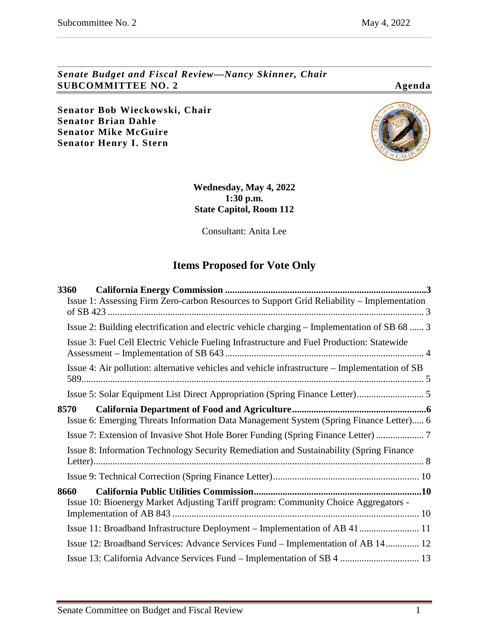*Senate Budget and Fiscal Review—Nancy Skinner, Chair* **SUBCOMMITTEE NO. 2 Agenda**

**Senator Bob Wieckowski, Chair Senator Brian Dahle Senator Mike McGuire Senator Henry I. Stern**



**Wednesday, May 4, 2022 1:30 p.m. State Capitol, Room 112**

Consultant: Anita Lee

# **Items Proposed for Vote Only**

| <b>3360</b>                                                                                    |  |
|------------------------------------------------------------------------------------------------|--|
| Issue 1: Assessing Firm Zero-carbon Resources to Support Grid Reliability - Implementation     |  |
| Issue 2: Building electrification and electric vehicle charging – Implementation of SB 68  3   |  |
| Issue 3: Fuel Cell Electric Vehicle Fueling Infrastructure and Fuel Production: Statewide      |  |
| Issue 4: Air pollution: alternative vehicles and vehicle infrastructure – Implementation of SB |  |
|                                                                                                |  |
| 8570<br>Issue 6: Emerging Threats Information Data Management System (Spring Finance Letter) 6 |  |
| Issue 7: Extension of Invasive Shot Hole Borer Funding (Spring Finance Letter)                 |  |
| Issue 8: Information Technology Security Remediation and Sustainability (Spring Finance        |  |
|                                                                                                |  |
| 8660<br>Issue 10: Bioenergy Market Adjusting Tariff program: Community Choice Aggregators -    |  |
| Issue 11: Broadband Infrastructure Deployment – Implementation of AB 41 11                     |  |
| Issue 12: Broadband Services: Advance Services Fund – Implementation of AB 14 12               |  |
| Issue 13: California Advance Services Fund – Implementation of SB 4  13                        |  |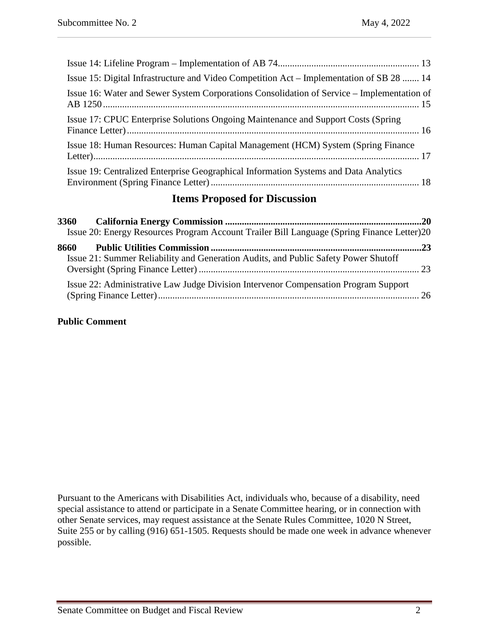| Issue 15: Digital Infrastructure and Video Competition Act – Implementation of SB 28  14   |
|--------------------------------------------------------------------------------------------|
| Issue 16: Water and Sewer System Corporations Consolidation of Service – Implementation of |
| Issue 17: CPUC Enterprise Solutions Ongoing Maintenance and Support Costs (Spring)         |
| Issue 18: Human Resources: Human Capital Management (HCM) System (Spring Finance           |
| Issue 19: Centralized Enterprise Geographical Information Systems and Data Analytics       |

# **Items Proposed for Discussion**

| <b>3360</b> |                                                                                            |  |
|-------------|--------------------------------------------------------------------------------------------|--|
|             | Issue 20: Energy Resources Program Account Trailer Bill Language (Spring Finance Letter)20 |  |
| 8660        |                                                                                            |  |
|             | Issue 21: Summer Reliability and Generation Audits, and Public Safety Power Shutoff        |  |
|             | Issue 22: Administrative Law Judge Division Intervenor Compensation Program Support        |  |

#### **Public Comment**

Pursuant to the Americans with Disabilities Act, individuals who, because of a disability, need special assistance to attend or participate in a Senate Committee hearing, or in connection with other Senate services, may request assistance at the Senate Rules Committee, 1020 N Street, Suite 255 or by calling (916) 651-1505. Requests should be made one week in advance whenever possible.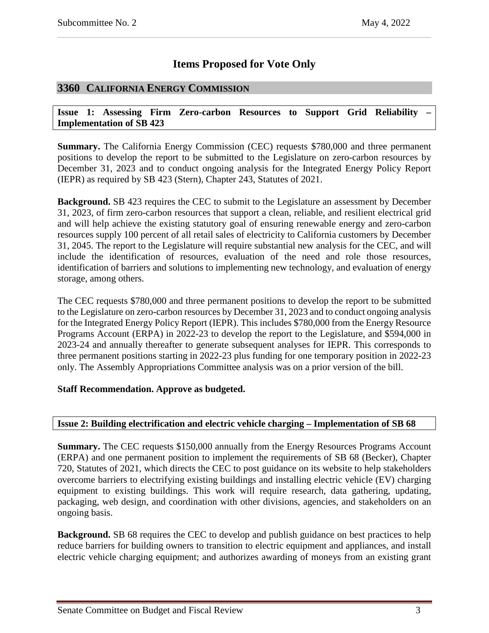# **Items Proposed for Vote Only**

# <span id="page-2-0"></span>**3360 CALIFORNIA ENERGY COMMISSION**

<span id="page-2-1"></span>**Issue 1: Assessing Firm Zero-carbon Resources to Support Grid Reliability – Implementation of SB 423**

**Summary.** The California Energy Commission (CEC) requests \$780,000 and three permanent positions to develop the report to be submitted to the Legislature on zero-carbon resources by December 31, 2023 and to conduct ongoing analysis for the Integrated Energy Policy Report (IEPR) as required by SB 423 (Stern), Chapter 243, Statutes of 2021.

**Background.** SB 423 requires the CEC to submit to the Legislature an assessment by December 31, 2023, of firm zero-carbon resources that support a clean, reliable, and resilient electrical grid and will help achieve the existing statutory goal of ensuring renewable energy and zero-carbon resources supply 100 percent of all retail sales of electricity to California customers by December 31, 2045. The report to the Legislature will require substantial new analysis for the CEC, and will include the identification of resources, evaluation of the need and role those resources, identification of barriers and solutions to implementing new technology, and evaluation of energy storage, among others.

The CEC requests \$780,000 and three permanent positions to develop the report to be submitted to the Legislature on zero-carbon resources by December 31, 2023 and to conduct ongoing analysis for the Integrated Energy Policy Report (IEPR). This includes \$780,000 from the Energy Resource Programs Account (ERPA) in 2022-23 to develop the report to the Legislature, and \$594,000 in 2023-24 and annually thereafter to generate subsequent analyses for IEPR. This corresponds to three permanent positions starting in 2022-23 plus funding for one temporary position in 2022-23 only. The Assembly Appropriations Committee analysis was on a prior version of the bill.

## **Staff Recommendation. Approve as budgeted.**

## <span id="page-2-2"></span>**Issue 2: Building electrification and electric vehicle charging – Implementation of SB 68**

**Summary.** The CEC requests \$150,000 annually from the Energy Resources Programs Account (ERPA) and one permanent position to implement the requirements of SB 68 (Becker), Chapter 720, Statutes of 2021, which directs the CEC to post guidance on its website to help stakeholders overcome barriers to electrifying existing buildings and installing electric vehicle (EV) charging equipment to existing buildings. This work will require research, data gathering, updating, packaging, web design, and coordination with other divisions, agencies, and stakeholders on an ongoing basis.

**Background.** SB 68 requires the CEC to develop and publish guidance on best practices to help reduce barriers for building owners to transition to electric equipment and appliances, and install electric vehicle charging equipment; and authorizes awarding of moneys from an existing grant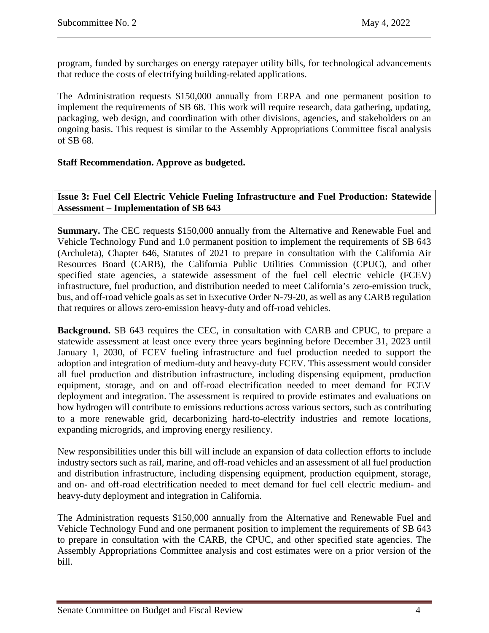program, funded by surcharges on energy ratepayer utility bills, for technological advancements that reduce the costs of electrifying building-related applications.

The Administration requests \$150,000 annually from ERPA and one permanent position to implement the requirements of SB 68. This work will require research, data gathering, updating, packaging, web design, and coordination with other divisions, agencies, and stakeholders on an ongoing basis. This request is similar to the Assembly Appropriations Committee fiscal analysis of SB 68.

#### **Staff Recommendation. Approve as budgeted.**

#### <span id="page-3-0"></span>**Issue 3: Fuel Cell Electric Vehicle Fueling Infrastructure and Fuel Production: Statewide Assessment – Implementation of SB 643**

**Summary.** The CEC requests \$150,000 annually from the Alternative and Renewable Fuel and Vehicle Technology Fund and 1.0 permanent position to implement the requirements of SB 643 (Archuleta), Chapter 646, Statutes of 2021 to prepare in consultation with the California Air Resources Board (CARB), the California Public Utilities Commission (CPUC), and other specified state agencies, a statewide assessment of the fuel cell electric vehicle (FCEV) infrastructure, fuel production, and distribution needed to meet California's zero-emission truck, bus, and off-road vehicle goals as set in Executive Order N-79-20, as well as any CARB regulation that requires or allows zero-emission heavy-duty and off-road vehicles.

**Background.** SB 643 requires the CEC, in consultation with CARB and CPUC, to prepare a statewide assessment at least once every three years beginning before December 31, 2023 until January 1, 2030, of FCEV fueling infrastructure and fuel production needed to support the adoption and integration of medium-duty and heavy-duty FCEV. This assessment would consider all fuel production and distribution infrastructure, including dispensing equipment, production equipment, storage, and on and off-road electrification needed to meet demand for FCEV deployment and integration. The assessment is required to provide estimates and evaluations on how hydrogen will contribute to emissions reductions across various sectors, such as contributing to a more renewable grid, decarbonizing hard-to-electrify industries and remote locations, expanding microgrids, and improving energy resiliency.

New responsibilities under this bill will include an expansion of data collection efforts to include industry sectors such as rail, marine, and off-road vehicles and an assessment of all fuel production and distribution infrastructure, including dispensing equipment, production equipment, storage, and on- and off-road electrification needed to meet demand for fuel cell electric medium- and heavy-duty deployment and integration in California.

The Administration requests \$150,000 annually from the Alternative and Renewable Fuel and Vehicle Technology Fund and one permanent position to implement the requirements of SB 643 to prepare in consultation with the CARB, the CPUC, and other specified state agencies. The Assembly Appropriations Committee analysis and cost estimates were on a prior version of the bill.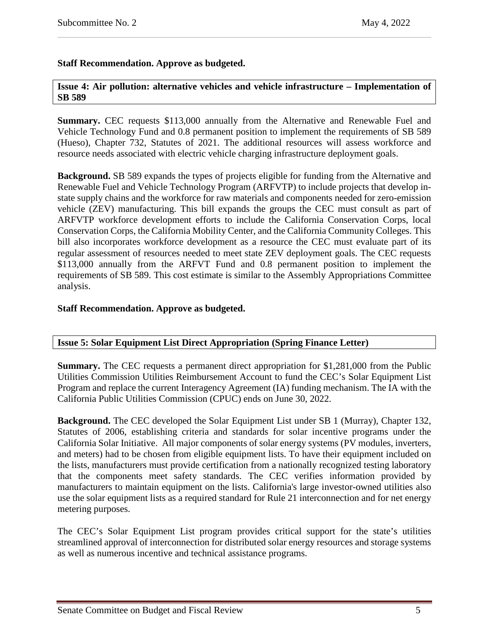## **Staff Recommendation. Approve as budgeted.**

#### <span id="page-4-0"></span>**Issue 4: Air pollution: alternative vehicles and vehicle infrastructure – Implementation of SB 589**

**Summary.** CEC requests \$113,000 annually from the Alternative and Renewable Fuel and Vehicle Technology Fund and 0.8 permanent position to implement the requirements of SB 589 (Hueso), Chapter 732, Statutes of 2021. The additional resources will assess workforce and resource needs associated with electric vehicle charging infrastructure deployment goals.

**Background.** SB 589 expands the types of projects eligible for funding from the Alternative and Renewable Fuel and Vehicle Technology Program (ARFVTP) to include projects that develop instate supply chains and the workforce for raw materials and components needed for zero-emission vehicle (ZEV) manufacturing. This bill expands the groups the CEC must consult as part of ARFVTP workforce development efforts to include the California Conservation Corps, local Conservation Corps, the California Mobility Center, and the California Community Colleges. This bill also incorporates workforce development as a resource the CEC must evaluate part of its regular assessment of resources needed to meet state ZEV deployment goals. The CEC requests \$113,000 annually from the ARFVT Fund and 0.8 permanent position to implement the requirements of SB 589. This cost estimate is similar to the Assembly Appropriations Committee analysis.

#### **Staff Recommendation. Approve as budgeted.**

#### <span id="page-4-1"></span>**Issue 5: Solar Equipment List Direct Appropriation (Spring Finance Letter)**

**Summary.** The CEC requests a permanent direct appropriation for \$1,281,000 from the Public Utilities Commission Utilities Reimbursement Account to fund the CEC's Solar Equipment List Program and replace the current Interagency Agreement (IA) funding mechanism. The IA with the California Public Utilities Commission (CPUC) ends on June 30, 2022.

**Background.** The CEC developed the Solar Equipment List under SB 1 (Murray), Chapter 132, Statutes of 2006, establishing criteria and standards for solar incentive programs under the California Solar Initiative. All major components of solar energy systems (PV modules, inverters, and meters) had to be chosen from eligible equipment lists. To have their equipment included on the lists, manufacturers must provide certification from a nationally recognized testing laboratory that the components meet safety standards. The CEC verifies information provided by manufacturers to maintain equipment on the lists. California's large investor-owned utilities also use the solar equipment lists as a required standard for Rule 21 interconnection and for net energy metering purposes.

The CEC's Solar Equipment List program provides critical support for the state's utilities streamlined approval of interconnection for distributed solar energy resources and storage systems as well as numerous incentive and technical assistance programs.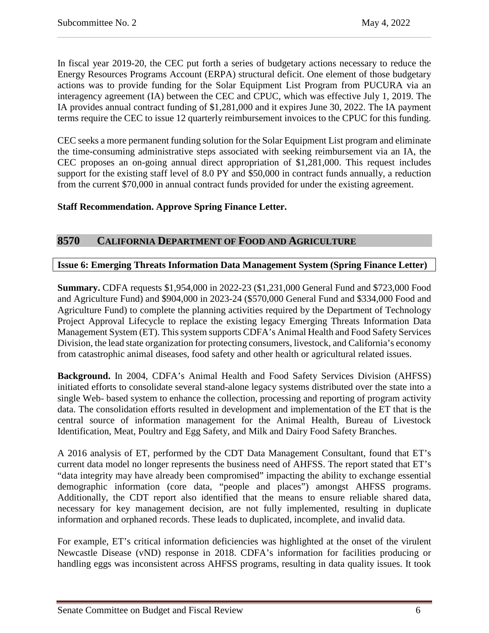In fiscal year 2019-20, the CEC put forth a series of budgetary actions necessary to reduce the Energy Resources Programs Account (ERPA) structural deficit. One element of those budgetary actions was to provide funding for the Solar Equipment List Program from PUCURA via an interagency agreement (IA) between the CEC and CPUC, which was effective July 1, 2019. The IA provides annual contract funding of \$1,281,000 and it expires June 30, 2022. The IA payment terms require the CEC to issue 12 quarterly reimbursement invoices to the CPUC for this funding.

CEC seeks a more permanent funding solution for the Solar Equipment List program and eliminate the time-consuming administrative steps associated with seeking reimbursement via an IA, the CEC proposes an on-going annual direct appropriation of \$1,281,000. This request includes support for the existing staff level of 8.0 PY and \$50,000 in contract funds annually, a reduction from the current \$70,000 in annual contract funds provided for under the existing agreement.

## **Staff Recommendation. Approve Spring Finance Letter.**

# <span id="page-5-0"></span>**8570 CALIFORNIA DEPARTMENT OF FOOD AND AGRICULTURE**

#### <span id="page-5-1"></span>**Issue 6: Emerging Threats Information Data Management System (Spring Finance Letter)**

**Summary.** CDFA requests \$1,954,000 in 2022-23 (\$1,231,000 General Fund and \$723,000 Food and Agriculture Fund) and \$904,000 in 2023-24 (\$570,000 General Fund and \$334,000 Food and Agriculture Fund) to complete the planning activities required by the Department of Technology Project Approval Lifecycle to replace the existing legacy Emerging Threats Information Data Management System (ET). This system supports CDFA's Animal Health and Food Safety Services Division, the lead state organization for protecting consumers, livestock, and California's economy from catastrophic animal diseases, food safety and other health or agricultural related issues.

**Background.** In 2004, CDFA's Animal Health and Food Safety Services Division (AHFSS) initiated efforts to consolidate several stand-alone legacy systems distributed over the state into a single Web- based system to enhance the collection, processing and reporting of program activity data. The consolidation efforts resulted in development and implementation of the ET that is the central source of information management for the Animal Health, Bureau of Livestock Identification, Meat, Poultry and Egg Safety, and Milk and Dairy Food Safety Branches.

A 2016 analysis of ET, performed by the CDT Data Management Consultant, found that ET's current data model no longer represents the business need of AHFSS. The report stated that ET's "data integrity may have already been compromised" impacting the ability to exchange essential demographic information (core data, "people and places") amongst AHFSS programs. Additionally, the CDT report also identified that the means to ensure reliable shared data, necessary for key management decision, are not fully implemented, resulting in duplicate information and orphaned records. These leads to duplicated, incomplete, and invalid data.

For example, ET's critical information deficiencies was highlighted at the onset of the virulent Newcastle Disease (vND) response in 2018. CDFA's information for facilities producing or handling eggs was inconsistent across AHFSS programs, resulting in data quality issues. It took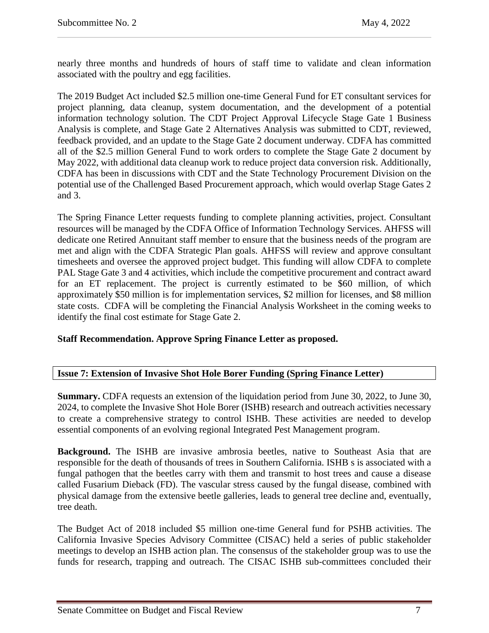nearly three months and hundreds of hours of staff time to validate and clean information associated with the poultry and egg facilities.

The 2019 Budget Act included \$2.5 million one-time General Fund for ET consultant services for project planning, data cleanup, system documentation, and the development of a potential information technology solution. The CDT Project Approval Lifecycle Stage Gate 1 Business Analysis is complete, and Stage Gate 2 Alternatives Analysis was submitted to CDT, reviewed, feedback provided, and an update to the Stage Gate 2 document underway. CDFA has committed all of the \$2.5 million General Fund to work orders to complete the Stage Gate 2 document by May 2022, with additional data cleanup work to reduce project data conversion risk. Additionally, CDFA has been in discussions with CDT and the State Technology Procurement Division on the potential use of the Challenged Based Procurement approach, which would overlap Stage Gates 2 and 3.

The Spring Finance Letter requests funding to complete planning activities, project. Consultant resources will be managed by the CDFA Office of Information Technology Services. AHFSS will dedicate one Retired Annuitant staff member to ensure that the business needs of the program are met and align with the CDFA Strategic Plan goals. AHFSS will review and approve consultant timesheets and oversee the approved project budget. This funding will allow CDFA to complete PAL Stage Gate 3 and 4 activities, which include the competitive procurement and contract award for an ET replacement. The project is currently estimated to be \$60 million, of which approximately \$50 million is for implementation services, \$2 million for licenses, and \$8 million state costs. CDFA will be completing the Financial Analysis Worksheet in the coming weeks to identify the final cost estimate for Stage Gate 2.

#### **Staff Recommendation. Approve Spring Finance Letter as proposed.**

## <span id="page-6-0"></span>**Issue 7: Extension of Invasive Shot Hole Borer Funding (Spring Finance Letter)**

**Summary.** CDFA requests an extension of the liquidation period from June 30, 2022, to June 30, 2024, to complete the Invasive Shot Hole Borer (ISHB) research and outreach activities necessary to create a comprehensive strategy to control ISHB. These activities are needed to develop essential components of an evolving regional Integrated Pest Management program.

**Background.** The ISHB are invasive ambrosia beetles, native to Southeast Asia that are responsible for the death of thousands of trees in Southern California. ISHB s is associated with a fungal pathogen that the beetles carry with them and transmit to host trees and cause a disease called Fusarium Dieback (FD). The vascular stress caused by the fungal disease, combined with physical damage from the extensive beetle galleries, leads to general tree decline and, eventually, tree death.

The Budget Act of 2018 included \$5 million one-time General fund for PSHB activities. The California Invasive Species Advisory Committee (CISAC) held a series of public stakeholder meetings to develop an ISHB action plan. The consensus of the stakeholder group was to use the funds for research, trapping and outreach. The CISAC ISHB sub-committees concluded their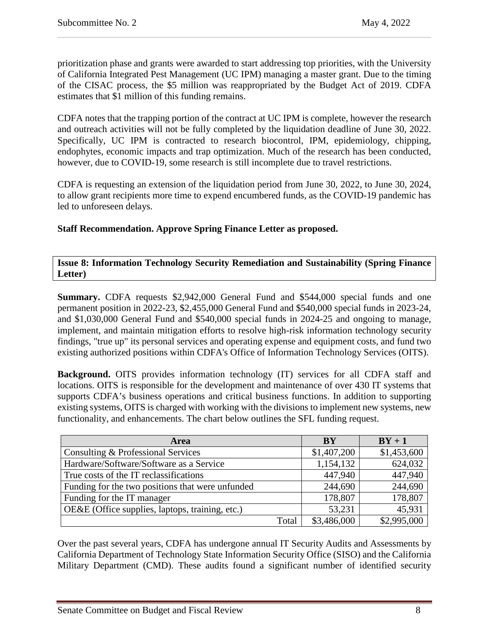prioritization phase and grants were awarded to start addressing top priorities, with the University of California Integrated Pest Management (UC IPM) managing a master grant. Due to the timing of the CISAC process, the \$5 million was reappropriated by the Budget Act of 2019. CDFA estimates that \$1 million of this funding remains.

CDFA notes that the trapping portion of the contract at UC IPM is complete, however the research and outreach activities will not be fully completed by the liquidation deadline of June 30, 2022. Specifically, UC IPM is contracted to research biocontrol, IPM, epidemiology, chipping, endophytes, economic impacts and trap optimization. Much of the research has been conducted, however, due to COVID-19, some research is still incomplete due to travel restrictions.

CDFA is requesting an extension of the liquidation period from June 30, 2022, to June 30, 2024, to allow grant recipients more time to expend encumbered funds, as the COVID-19 pandemic has led to unforeseen delays.

**Staff Recommendation. Approve Spring Finance Letter as proposed.**

<span id="page-7-0"></span>**Issue 8: Information Technology Security Remediation and Sustainability (Spring Finance Letter)**

**Summary.** CDFA requests \$2,942,000 General Fund and \$544,000 special funds and one permanent position in 2022-23, \$2,455,000 General Fund and \$540,000 special funds in 2023-24, and \$1,030,000 General Fund and \$540,000 special funds in 2024-25 and ongoing to manage, implement, and maintain mitigation efforts to resolve high-risk information technology security findings, "true up" its personal services and operating expense and equipment costs, and fund two existing authorized positions within CDFA's Office of Information Technology Services (OITS).

**Background.** OITS provides information technology (IT) services for all CDFA staff and locations. OITS is responsible for the development and maintenance of over 430 IT systems that supports CDFA's business operations and critical business functions. In addition to supporting existing systems, OITS is charged with working with the divisions to implement new systems, new functionality, and enhancements. The chart below outlines the SFL funding request.

| <b>Area</b>                                      |       | <b>BY</b>   | $BY + 1$    |
|--------------------------------------------------|-------|-------------|-------------|
| Consulting & Professional Services               |       | \$1,407,200 | \$1,453,600 |
| Hardware/Software/Software as a Service          |       | 1,154,132   | 624,032     |
| True costs of the IT reclassifications           |       | 447,940     | 447,940     |
| Funding for the two positions that were unfunded |       | 244,690     | 244,690     |
| Funding for the IT manager                       |       | 178,807     | 178,807     |
| OE&E (Office supplies, laptops, training, etc.)  |       | 53,231      | 45,931      |
|                                                  | Total | \$3,486,000 | \$2,995,000 |

Over the past several years, CDFA has undergone annual IT Security Audits and Assessments by California Department of Technology State Information Security Office (SISO) and the California Military Department (CMD). These audits found a significant number of identified security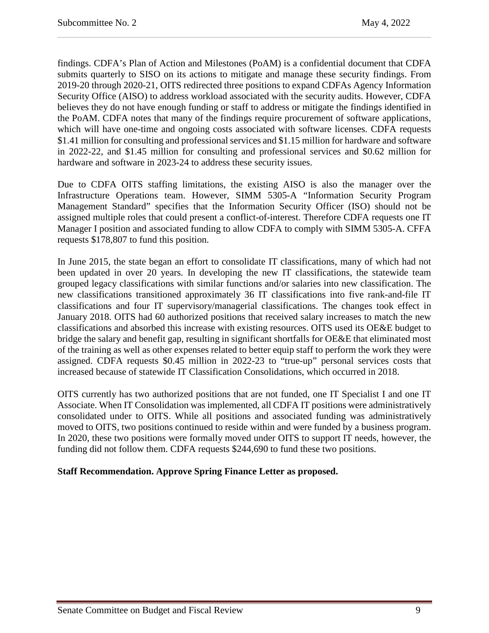findings. CDFA's Plan of Action and Milestones (PoAM) is a confidential document that CDFA submits quarterly to SISO on its actions to mitigate and manage these security findings. From 2019-20 through 2020-21, OITS redirected three positions to expand CDFAs Agency Information Security Office (AISO) to address workload associated with the security audits. However, CDFA believes they do not have enough funding or staff to address or mitigate the findings identified in the PoAM. CDFA notes that many of the findings require procurement of software applications, which will have one-time and ongoing costs associated with software licenses. CDFA requests \$1.41 million for consulting and professional services and \$1.15 million for hardware and software in 2022-22, and \$1.45 million for consulting and professional services and \$0.62 million for hardware and software in 2023-24 to address these security issues.

Due to CDFA OITS staffing limitations, the existing AISO is also the manager over the Infrastructure Operations team. However, SIMM 5305-A "Information Security Program Management Standard" specifies that the Information Security Officer (ISO) should not be assigned multiple roles that could present a conflict-of-interest. Therefore CDFA requests one IT Manager I position and associated funding to allow CDFA to comply with SIMM 5305-A. CFFA requests \$178,807 to fund this position.

In June 2015, the state began an effort to consolidate IT classifications, many of which had not been updated in over 20 years. In developing the new IT classifications, the statewide team grouped legacy classifications with similar functions and/or salaries into new classification. The new classifications transitioned approximately 36 IT classifications into five rank-and-file IT classifications and four IT supervisory/managerial classifications. The changes took effect in January 2018. OITS had 60 authorized positions that received salary increases to match the new classifications and absorbed this increase with existing resources. OITS used its OE&E budget to bridge the salary and benefit gap, resulting in significant shortfalls for OE&E that eliminated most of the training as well as other expenses related to better equip staff to perform the work they were assigned. CDFA requests \$0.45 million in 2022-23 to "true-up" personal services costs that increased because of statewide IT Classification Consolidations, which occurred in 2018.

OITS currently has two authorized positions that are not funded, one IT Specialist I and one IT Associate. When IT Consolidation was implemented, all CDFA IT positions were administratively consolidated under to OITS. While all positions and associated funding was administratively moved to OITS, two positions continued to reside within and were funded by a business program. In 2020, these two positions were formally moved under OITS to support IT needs, however, the funding did not follow them. CDFA requests \$244,690 to fund these two positions.

## **Staff Recommendation. Approve Spring Finance Letter as proposed.**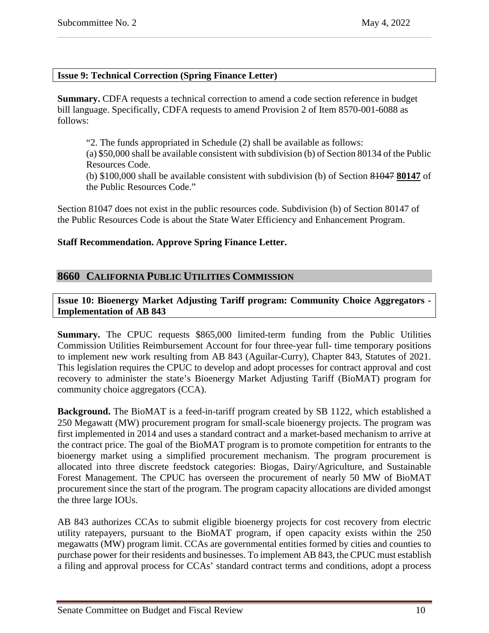#### <span id="page-9-0"></span>**Issue 9: Technical Correction (Spring Finance Letter)**

**Summary.** CDFA requests a technical correction to amend a code section reference in budget bill language. Specifically, CDFA requests to amend Provision 2 of Item 8570-001-6088 as follows:

"2. The funds appropriated in Schedule (2) shall be available as follows:

(a) \$50,000 shall be available consistent with subdivision (b) of Section 80134 of the Public Resources Code.

(b) \$100,000 shall be available consistent with subdivision (b) of Section 81047 **80147** of the Public Resources Code."

Section 81047 does not exist in the public resources code. Subdivision (b) of Section 80147 of the Public Resources Code is about the State Water Efficiency and Enhancement Program.

#### **Staff Recommendation. Approve Spring Finance Letter.**

## <span id="page-9-1"></span>**8660 CALIFORNIA PUBLIC UTILITIES COMMISSION**

<span id="page-9-2"></span>**Issue 10: Bioenergy Market Adjusting Tariff program: Community Choice Aggregators - Implementation of AB 843**

**Summary.** The CPUC requests \$865,000 limited-term funding from the Public Utilities Commission Utilities Reimbursement Account for four three-year full- time temporary positions to implement new work resulting from AB 843 (Aguilar-Curry), Chapter 843, Statutes of 2021. This legislation requires the CPUC to develop and adopt processes for contract approval and cost recovery to administer the state's Bioenergy Market Adjusting Tariff (BioMAT) program for community choice aggregators (CCA).

**Background.** The BioMAT is a feed-in-tariff program created by SB 1122, which established a 250 Megawatt (MW) procurement program for small-scale bioenergy projects. The program was first implemented in 2014 and uses a standard contract and a market-based mechanism to arrive at the contract price. The goal of the BioMAT program is to promote competition for entrants to the bioenergy market using a simplified procurement mechanism. The program procurement is allocated into three discrete feedstock categories: Biogas, Dairy/Agriculture, and Sustainable Forest Management. The CPUC has overseen the procurement of nearly 50 MW of BioMAT procurement since the start of the program. The program capacity allocations are divided amongst the three large IOUs.

AB 843 authorizes CCAs to submit eligible bioenergy projects for cost recovery from electric utility ratepayers, pursuant to the BioMAT program, if open capacity exists within the 250 megawatts (MW) program limit. CCAs are governmental entities formed by cities and counties to purchase power for their residents and businesses. To implement AB 843, the CPUC must establish a filing and approval process for CCAs' standard contract terms and conditions, adopt a process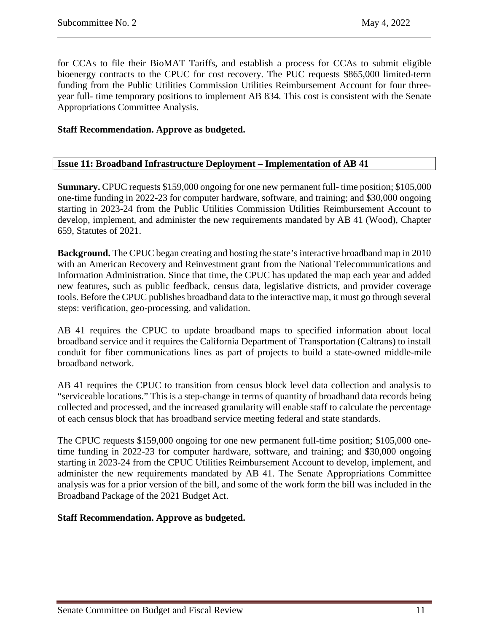for CCAs to file their BioMAT Tariffs, and establish a process for CCAs to submit eligible bioenergy contracts to the CPUC for cost recovery. The PUC requests \$865,000 limited-term funding from the Public Utilities Commission Utilities Reimbursement Account for four threeyear full- time temporary positions to implement AB 834. This cost is consistent with the Senate Appropriations Committee Analysis.

#### **Staff Recommendation. Approve as budgeted.**

## <span id="page-10-0"></span>**Issue 11: Broadband Infrastructure Deployment – Implementation of AB 41**

**Summary.** CPUC requests \$159,000 ongoing for one new permanent full- time position; \$105,000 one-time funding in 2022-23 for computer hardware, software, and training; and \$30,000 ongoing starting in 2023-24 from the Public Utilities Commission Utilities Reimbursement Account to develop, implement, and administer the new requirements mandated by AB 41 (Wood), Chapter 659, Statutes of 2021.

**Background.** The CPUC began creating and hosting the state's interactive broadband map in 2010 with an American Recovery and Reinvestment grant from the National Telecommunications and Information Administration. Since that time, the CPUC has updated the map each year and added new features, such as public feedback, census data, legislative districts, and provider coverage tools. Before the CPUC publishes broadband data to the interactive map, it must go through several steps: verification, geo-processing, and validation.

AB 41 requires the CPUC to update broadband maps to specified information about local broadband service and it requires the California Department of Transportation (Caltrans) to install conduit for fiber communications lines as part of projects to build a state-owned middle-mile broadband network.

AB 41 requires the CPUC to transition from census block level data collection and analysis to "serviceable locations." This is a step-change in terms of quantity of broadband data records being collected and processed, and the increased granularity will enable staff to calculate the percentage of each census block that has broadband service meeting federal and state standards.

The CPUC requests \$159,000 ongoing for one new permanent full-time position; \$105,000 onetime funding in 2022-23 for computer hardware, software, and training; and \$30,000 ongoing starting in 2023-24 from the CPUC Utilities Reimbursement Account to develop, implement, and administer the new requirements mandated by AB 41. The Senate Appropriations Committee analysis was for a prior version of the bill, and some of the work form the bill was included in the Broadband Package of the 2021 Budget Act.

#### **Staff Recommendation. Approve as budgeted.**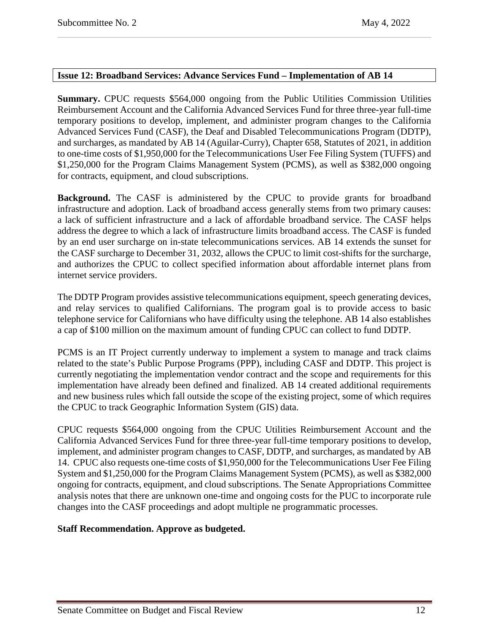#### <span id="page-11-0"></span>**Issue 12: Broadband Services: Advance Services Fund – Implementation of AB 14**

**Summary.** CPUC requests \$564,000 ongoing from the Public Utilities Commission Utilities Reimbursement Account and the California Advanced Services Fund for three three-year full-time temporary positions to develop, implement, and administer program changes to the California Advanced Services Fund (CASF), the Deaf and Disabled Telecommunications Program (DDTP), and surcharges, as mandated by AB 14 (Aguilar-Curry), Chapter 658, Statutes of 2021, in addition to one-time costs of \$1,950,000 for the Telecommunications User Fee Filing System (TUFFS) and \$1,250,000 for the Program Claims Management System (PCMS), as well as \$382,000 ongoing for contracts, equipment, and cloud subscriptions.

**Background.** The CASF is administered by the CPUC to provide grants for broadband infrastructure and adoption. Lack of broadband access generally stems from two primary causes: a lack of sufficient infrastructure and a lack of affordable broadband service. The CASF helps address the degree to which a lack of infrastructure limits broadband access. The CASF is funded by an end user surcharge on in-state telecommunications services. AB 14 extends the sunset for the CASF surcharge to December 31, 2032, allows the CPUC to limit cost-shifts for the surcharge, and authorizes the CPUC to collect specified information about affordable internet plans from internet service providers.

The DDTP Program provides assistive telecommunications equipment, speech generating devices, and relay services to qualified Californians. The program goal is to provide access to basic telephone service for Californians who have difficulty using the telephone. AB 14 also establishes a cap of \$100 million on the maximum amount of funding CPUC can collect to fund DDTP.

PCMS is an IT Project currently underway to implement a system to manage and track claims related to the state's Public Purpose Programs (PPP), including CASF and DDTP. This project is currently negotiating the implementation vendor contract and the scope and requirements for this implementation have already been defined and finalized. AB 14 created additional requirements and new business rules which fall outside the scope of the existing project, some of which requires the CPUC to track Geographic Information System (GIS) data.

CPUC requests \$564,000 ongoing from the CPUC Utilities Reimbursement Account and the California Advanced Services Fund for three three-year full-time temporary positions to develop, implement, and administer program changes to CASF, DDTP, and surcharges, as mandated by AB 14. CPUC also requests one-time costs of \$1,950,000 for the Telecommunications User Fee Filing System and \$1,250,000 for the Program Claims Management System (PCMS), as well as \$382,000 ongoing for contracts, equipment, and cloud subscriptions. The Senate Appropriations Committee analysis notes that there are unknown one-time and ongoing costs for the PUC to incorporate rule changes into the CASF proceedings and adopt multiple ne programmatic processes.

#### **Staff Recommendation. Approve as budgeted.**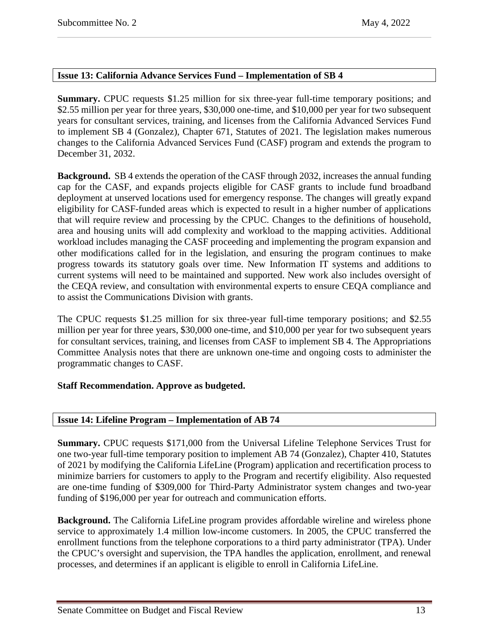#### <span id="page-12-0"></span>**Issue 13: California Advance Services Fund – Implementation of SB 4**

**Summary.** CPUC requests \$1.25 million for six three-year full-time temporary positions; and \$2.55 million per year for three years, \$30,000 one-time, and \$10,000 per year for two subsequent years for consultant services, training, and licenses from the California Advanced Services Fund to implement SB 4 (Gonzalez), Chapter 671, Statutes of 2021. The legislation makes numerous changes to the California Advanced Services Fund (CASF) program and extends the program to December 31, 2032.

**Background.** SB 4 extends the operation of the CASF through 2032, increases the annual funding cap for the CASF, and expands projects eligible for CASF grants to include fund broadband deployment at unserved locations used for emergency response. The changes will greatly expand eligibility for CASF-funded areas which is expected to result in a higher number of applications that will require review and processing by the CPUC. Changes to the definitions of household, area and housing units will add complexity and workload to the mapping activities. Additional workload includes managing the CASF proceeding and implementing the program expansion and other modifications called for in the legislation, and ensuring the program continues to make progress towards its statutory goals over time. New Information IT systems and additions to current systems will need to be maintained and supported. New work also includes oversight of the CEQA review, and consultation with environmental experts to ensure CEQA compliance and to assist the Communications Division with grants.

The CPUC requests \$1.25 million for six three-year full-time temporary positions; and \$2.55 million per year for three years, \$30,000 one-time, and \$10,000 per year for two subsequent years for consultant services, training, and licenses from CASF to implement SB 4. The Appropriations Committee Analysis notes that there are unknown one-time and ongoing costs to administer the programmatic changes to CASF.

#### **Staff Recommendation. Approve as budgeted.**

#### <span id="page-12-1"></span>**Issue 14: Lifeline Program – Implementation of AB 74**

**Summary.** CPUC requests \$171,000 from the Universal Lifeline Telephone Services Trust for one two-year full-time temporary position to implement AB 74 (Gonzalez), Chapter 410, Statutes of 2021 by modifying the California LifeLine (Program) application and recertification process to minimize barriers for customers to apply to the Program and recertify eligibility. Also requested are one-time funding of \$309,000 for Third-Party Administrator system changes and two-year funding of \$196,000 per year for outreach and communication efforts.

**Background.** The California LifeLine program provides affordable wireline and wireless phone service to approximately 1.4 million low-income customers. In 2005, the CPUC transferred the enrollment functions from the telephone corporations to a third party administrator (TPA). Under the CPUC's oversight and supervision, the TPA handles the application, enrollment, and renewal processes, and determines if an applicant is eligible to enroll in California LifeLine.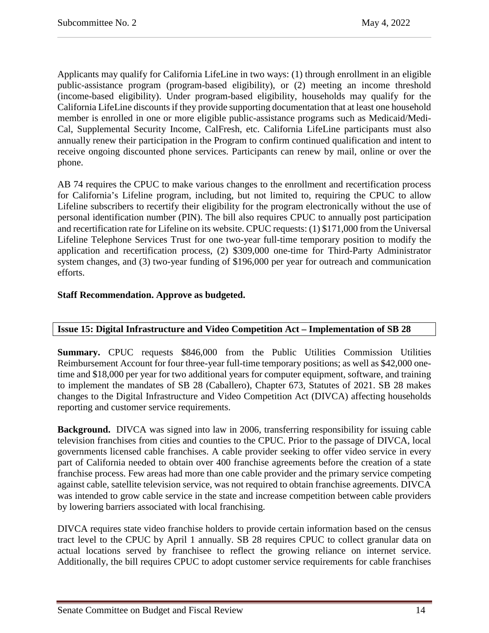Applicants may qualify for California LifeLine in two ways: (1) through enrollment in an eligible public-assistance program (program-based eligibility), or (2) meeting an income threshold (income-based eligibility). Under program-based eligibility, households may qualify for the California LifeLine discounts if they provide supporting documentation that at least one household member is enrolled in one or more eligible public-assistance programs such as Medicaid/Medi-Cal, Supplemental Security Income, CalFresh, etc. California LifeLine participants must also annually renew their participation in the Program to confirm continued qualification and intent to receive ongoing discounted phone services. Participants can renew by mail, online or over the phone.

AB 74 requires the CPUC to make various changes to the enrollment and recertification process for California's Lifeline program, including, but not limited to, requiring the CPUC to allow Lifeline subscribers to recertify their eligibility for the program electronically without the use of personal identification number (PIN). The bill also requires CPUC to annually post participation and recertification rate for Lifeline on its website. CPUC requests: (1) \$171,000 from the Universal Lifeline Telephone Services Trust for one two-year full-time temporary position to modify the application and recertification process, (2) \$309,000 one-time for Third-Party Administrator system changes, and (3) two-year funding of \$196,000 per year for outreach and communication efforts.

## **Staff Recommendation. Approve as budgeted.**

## <span id="page-13-0"></span>**Issue 15: Digital Infrastructure and Video Competition Act – Implementation of SB 28**

**Summary.** CPUC requests \$846,000 from the Public Utilities Commission Utilities Reimbursement Account for four three-year full-time temporary positions; as well as \$42,000 onetime and \$18,000 per year for two additional years for computer equipment, software, and training to implement the mandates of SB 28 (Caballero), Chapter 673, Statutes of 2021. SB 28 makes changes to the Digital Infrastructure and Video Competition Act (DIVCA) affecting households reporting and customer service requirements.

**Background.** DIVCA was signed into law in 2006, transferring responsibility for issuing cable television franchises from cities and counties to the CPUC. Prior to the passage of DIVCA, local governments licensed cable franchises. A cable provider seeking to offer video service in every part of California needed to obtain over 400 franchise agreements before the creation of a state franchise process. Few areas had more than one cable provider and the primary service competing against cable, satellite television service, was not required to obtain franchise agreements. DIVCA was intended to grow cable service in the state and increase competition between cable providers by lowering barriers associated with local franchising.

DIVCA requires state video franchise holders to provide certain information based on the census tract level to the CPUC by April 1 annually. SB 28 requires CPUC to collect granular data on actual locations served by franchisee to reflect the growing reliance on internet service. Additionally, the bill requires CPUC to adopt customer service requirements for cable franchises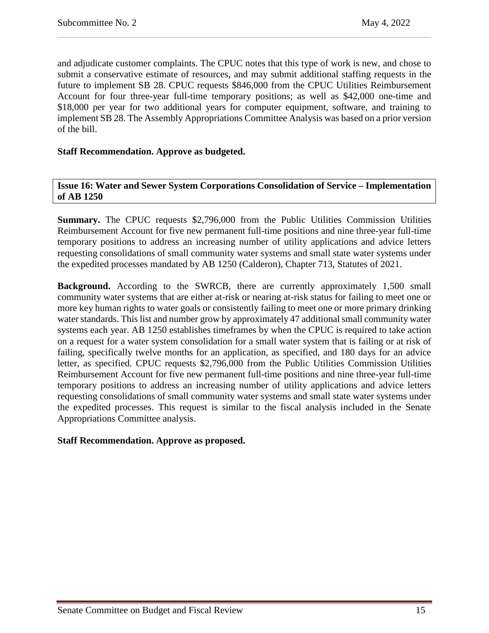and adjudicate customer complaints. The CPUC notes that this type of work is new, and chose to submit a conservative estimate of resources, and may submit additional staffing requests in the future to implement SB 28. CPUC requests \$846,000 from the CPUC Utilities Reimbursement Account for four three-year full-time temporary positions; as well as \$42,000 one-time and \$18,000 per year for two additional years for computer equipment, software, and training to implement SB 28. The Assembly Appropriations Committee Analysis was based on a prior version of the bill.

#### **Staff Recommendation. Approve as budgeted.**

<span id="page-14-0"></span>**Issue 16: Water and Sewer System Corporations Consolidation of Service – Implementation of AB 1250**

**Summary.** The CPUC requests \$2,796,000 from the Public Utilities Commission Utilities Reimbursement Account for five new permanent full-time positions and nine three-year full-time temporary positions to address an increasing number of utility applications and advice letters requesting consolidations of small community water systems and small state water systems under the expedited processes mandated by AB 1250 (Calderon), Chapter 713, Statutes of 2021.

**Background.** According to the SWRCB, there are currently approximately 1,500 small community water systems that are either at-risk or nearing at-risk status for failing to meet one or more key human rights to water goals or consistently failing to meet one or more primary drinking water standards. This list and number grow by approximately 47 additional small community water systems each year. AB 1250 establishes timeframes by when the CPUC is required to take action on a request for a water system consolidation for a small water system that is failing or at risk of failing, specifically twelve months for an application, as specified, and 180 days for an advice letter, as specified. CPUC requests \$2,796,000 from the Public Utilities Commission Utilities Reimbursement Account for five new permanent full-time positions and nine three-year full-time temporary positions to address an increasing number of utility applications and advice letters requesting consolidations of small community water systems and small state water systems under the expedited processes. This request is similar to the fiscal analysis included in the Senate Appropriations Committee analysis.

#### **Staff Recommendation. Approve as proposed.**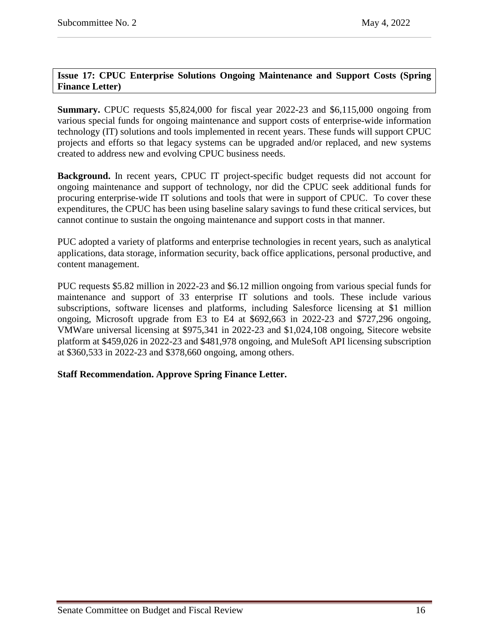## <span id="page-15-0"></span>**Issue 17: CPUC Enterprise Solutions Ongoing Maintenance and Support Costs (Spring Finance Letter)**

**Summary.** CPUC requests \$5,824,000 for fiscal year 2022-23 and \$6,115,000 ongoing from various special funds for ongoing maintenance and support costs of enterprise-wide information technology (IT) solutions and tools implemented in recent years. These funds will support CPUC projects and efforts so that legacy systems can be upgraded and/or replaced, and new systems created to address new and evolving CPUC business needs.

**Background.** In recent years, CPUC IT project-specific budget requests did not account for ongoing maintenance and support of technology, nor did the CPUC seek additional funds for procuring enterprise-wide IT solutions and tools that were in support of CPUC. To cover these expenditures, the CPUC has been using baseline salary savings to fund these critical services, but cannot continue to sustain the ongoing maintenance and support costs in that manner.

PUC adopted a variety of platforms and enterprise technologies in recent years, such as analytical applications, data storage, information security, back office applications, personal productive, and content management.

PUC requests \$5.82 million in 2022-23 and \$6.12 million ongoing from various special funds for maintenance and support of 33 enterprise IT solutions and tools. These include various subscriptions, software licenses and platforms, including Salesforce licensing at \$1 million ongoing, Microsoft upgrade from E3 to E4 at \$692,663 in 2022-23 and \$727,296 ongoing, VMWare universal licensing at \$975,341 in 2022-23 and \$1,024,108 ongoing, Sitecore website platform at \$459,026 in 2022-23 and \$481,978 ongoing, and MuleSoft API licensing subscription at \$360,533 in 2022-23 and \$378,660 ongoing, among others.

## **Staff Recommendation. Approve Spring Finance Letter.**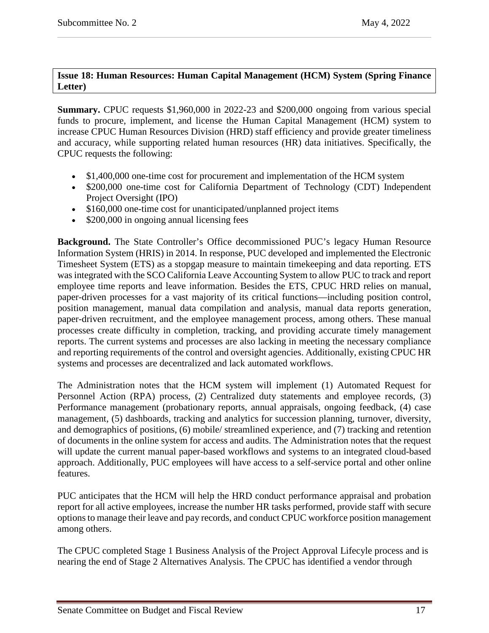# <span id="page-16-0"></span>**Issue 18: Human Resources: Human Capital Management (HCM) System (Spring Finance Letter)**

**Summary.** CPUC requests \$1,960,000 in 2022-23 and \$200,000 ongoing from various special funds to procure, implement, and license the Human Capital Management (HCM) system to increase CPUC Human Resources Division (HRD) staff efficiency and provide greater timeliness and accuracy, while supporting related human resources (HR) data initiatives. Specifically, the CPUC requests the following:

- \$1,400,000 one-time cost for procurement and implementation of the HCM system
- \$200,000 one-time cost for California Department of Technology (CDT) Independent Project Oversight (IPO)
- \$160,000 one-time cost for unanticipated/unplanned project items
- \$200,000 in ongoing annual licensing fees

**Background.** The State Controller's Office decommissioned PUC's legacy Human Resource Information System (HRIS) in 2014. In response, PUC developed and implemented the Electronic Timesheet System (ETS) as a stopgap measure to maintain timekeeping and data reporting. ETS was integrated with the SCO California Leave Accounting System to allow PUC to track and report employee time reports and leave information. Besides the ETS, CPUC HRD relies on manual, paper-driven processes for a vast majority of its critical functions—including position control, position management, manual data compilation and analysis, manual data reports generation, paper-driven recruitment, and the employee management process, among others. These manual processes create difficulty in completion, tracking, and providing accurate timely management reports. The current systems and processes are also lacking in meeting the necessary compliance and reporting requirements of the control and oversight agencies. Additionally, existing CPUC HR systems and processes are decentralized and lack automated workflows.

The Administration notes that the HCM system will implement (1) Automated Request for Personnel Action (RPA) process, (2) Centralized duty statements and employee records, (3) Performance management (probationary reports, annual appraisals, ongoing feedback, (4) case management, (5) dashboards, tracking and analytics for succession planning, turnover, diversity, and demographics of positions, (6) mobile/ streamlined experience, and (7) tracking and retention of documents in the online system for access and audits. The Administration notes that the request will update the current manual paper-based workflows and systems to an integrated cloud-based approach. Additionally, PUC employees will have access to a self-service portal and other online features.

PUC anticipates that the HCM will help the HRD conduct performance appraisal and probation report for all active employees, increase the number HR tasks performed, provide staff with secure options to manage their leave and pay records, and conduct CPUC workforce position management among others.

The CPUC completed Stage 1 Business Analysis of the Project Approval Lifecyle process and is nearing the end of Stage 2 Alternatives Analysis. The CPUC has identified a vendor through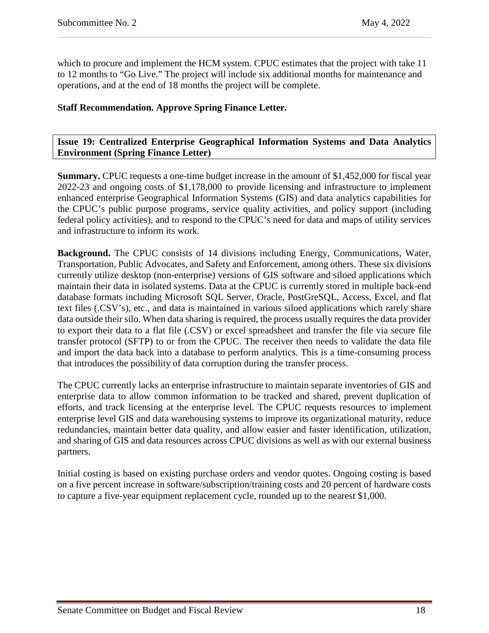which to procure and implement the HCM system. CPUC estimates that the project with take 11 to 12 months to "Go Live." The project will include six additional months for maintenance and operations, and at the end of 18 months the project will be complete.

## **Staff Recommendation. Approve Spring Finance Letter.**

#### <span id="page-17-0"></span>**Issue 19: Centralized Enterprise Geographical Information Systems and Data Analytics Environment (Spring Finance Letter)**

**Summary.** CPUC requests a one-time budget increase in the amount of \$1,452,000 for fiscal year 2022-23 and ongoing costs of \$1,178,000 to provide licensing and infrastructure to implement enhanced enterprise Geographical Information Systems (GIS) and data analytics capabilities for the CPUC's public purpose programs, service quality activities, and policy support (including federal policy activities), and to respond to the CPUC's need for data and maps of utility services and infrastructure to inform its work.

**Background.** The CPUC consists of 14 divisions including Energy, Communications, Water, Transportation, Public Advocates, and Safety and Enforcement, among others. These six divisions currently utilize desktop (non-enterprise) versions of GIS software and siloed applications which maintain their data in isolated systems. Data at the CPUC is currently stored in multiple back-end database formats including Microsoft SQL Server, Oracle, PostGreSQL, Access, Excel, and flat text files (.CSV's), etc., and data is maintained in various siloed applications which rarely share data outside their silo. When data sharing is required, the process usually requires the data provider to export their data to a flat file (.CSV) or excel spreadsheet and transfer the file via secure file transfer protocol (SFTP) to or from the CPUC. The receiver then needs to validate the data file and import the data back into a database to perform analytics. This is a time-consuming process that introduces the possibility of data corruption during the transfer process.

The CPUC currently lacks an enterprise infrastructure to maintain separate inventories of GIS and enterprise data to allow common information to be tracked and shared, prevent duplication of efforts, and track licensing at the enterprise level. The CPUC requests resources to implement enterprise level GIS and data warehousing systems to improve its organizational maturity, reduce redundancies, maintain better data quality, and allow easier and faster identification, utilization, and sharing of GIS and data resources across CPUC divisions as well as with our external business partners.

Initial costing is based on existing purchase orders and vendor quotes. Ongoing costing is based on a five percent increase in software/subscription/training costs and 20 percent of hardware costs to capture a five-year equipment replacement cycle, rounded up to the nearest \$1,000.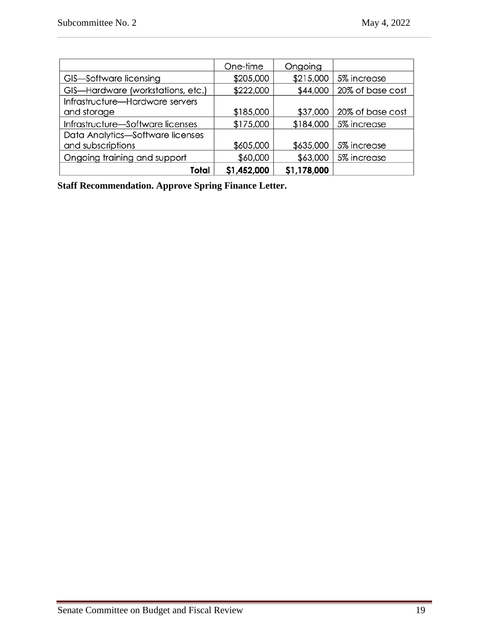|                                   | One-time    | Ongoing     |                  |
|-----------------------------------|-------------|-------------|------------------|
| GIS-Software licensing            | \$205,000   | \$215,000   | 5% increase      |
| GIS-Hardware (workstations, etc.) | \$222,000   | \$44,000    | 20% of base cost |
| Infrastructure-Hardware servers   |             |             |                  |
| and storage                       | \$185,000   | \$37,000    | 20% of base cost |
| Infrastructure-Software licenses  | \$175,000   | \$184,000   | 5% increase      |
| Data Analytics-Software licenses  |             |             |                  |
| and subscriptions                 | \$605,000   | \$635,000   | 5% increase      |
| Ongoing training and support      | \$60,000    | \$63,000    | 5% increase      |
| Total                             | \$1,452,000 | \$1,178,000 |                  |

**Staff Recommendation. Approve Spring Finance Letter.**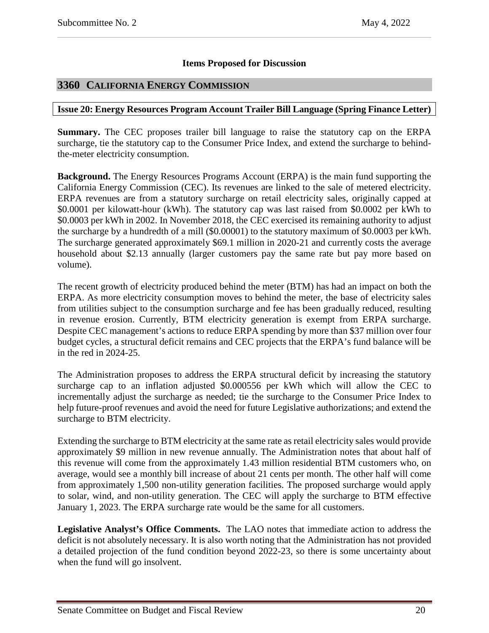## **Items Proposed for Discussion**

# <span id="page-19-0"></span>**3360 CALIFORNIA ENERGY COMMISSION**

#### <span id="page-19-1"></span>**Issue 20: Energy Resources Program Account Trailer Bill Language (Spring Finance Letter)**

**Summary.** The CEC proposes trailer bill language to raise the statutory cap on the ERPA surcharge, tie the statutory cap to the Consumer Price Index, and extend the surcharge to behindthe-meter electricity consumption.

**Background.** The Energy Resources Programs Account (ERPA) is the main fund supporting the California Energy Commission (CEC). Its revenues are linked to the sale of metered electricity. ERPA revenues are from a statutory surcharge on retail electricity sales, originally capped at \$0.0001 per kilowatt-hour (kWh). The statutory cap was last raised from \$0.0002 per kWh to \$0.0003 per kWh in 2002. In November 2018, the CEC exercised its remaining authority to adjust the surcharge by a hundredth of a mill (\$0.00001) to the statutory maximum of \$0.0003 per kWh. The surcharge generated approximately \$69.1 million in 2020-21 and currently costs the average household about \$2.13 annually (larger customers pay the same rate but pay more based on volume).

The recent growth of electricity produced behind the meter (BTM) has had an impact on both the ERPA. As more electricity consumption moves to behind the meter, the base of electricity sales from utilities subject to the consumption surcharge and fee has been gradually reduced, resulting in revenue erosion. Currently, BTM electricity generation is exempt from ERPA surcharge. Despite CEC management's actions to reduce ERPA spending by more than \$37 million over four budget cycles, a structural deficit remains and CEC projects that the ERPA's fund balance will be in the red in 2024-25.

The Administration proposes to address the ERPA structural deficit by increasing the statutory surcharge cap to an inflation adjusted \$0.000556 per kWh which will allow the CEC to incrementally adjust the surcharge as needed; tie the surcharge to the Consumer Price Index to help future-proof revenues and avoid the need for future Legislative authorizations; and extend the surcharge to BTM electricity.

Extending the surcharge to BTM electricity at the same rate as retail electricity sales would provide approximately \$9 million in new revenue annually. The Administration notes that about half of this revenue will come from the approximately 1.43 million residential BTM customers who, on average, would see a monthly bill increase of about 21 cents per month. The other half will come from approximately 1,500 non-utility generation facilities. The proposed surcharge would apply to solar, wind, and non-utility generation. The CEC will apply the surcharge to BTM effective January 1, 2023. The ERPA surcharge rate would be the same for all customers.

**Legislative Analyst's Office Comments.** The LAO notes that immediate action to address the deficit is not absolutely necessary. It is also worth noting that the Administration has not provided a detailed projection of the fund condition beyond 2022-23, so there is some uncertainty about when the fund will go insolvent.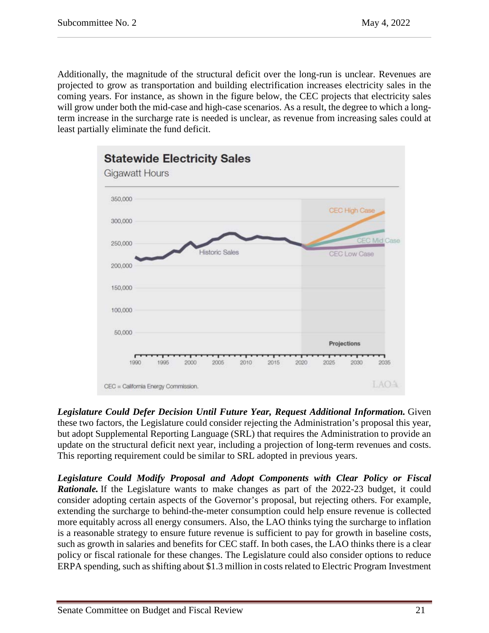Additionally, the magnitude of the structural deficit over the long-run is unclear. Revenues are projected to grow as transportation and building electrification increases electricity sales in the coming years. For instance, as shown in the figure below, the CEC projects that electricity sales will grow under both the mid-case and high-case scenarios. As a result, the degree to which a longterm increase in the surcharge rate is needed is unclear, as revenue from increasing sales could at least partially eliminate the fund deficit.



*Legislature Could Defer Decision Until Future Year, Request Additional Information.* Given these two factors, the Legislature could consider rejecting the Administration's proposal this year, but adopt Supplemental Reporting Language (SRL) that requires the Administration to provide an update on the structural deficit next year, including a projection of long-term revenues and costs. This reporting requirement could be similar to SRL adopted in previous years.

*Legislature Could Modify Proposal and Adopt Components with Clear Policy or Fiscal Rationale.* If the Legislature wants to make changes as part of the 2022-23 budget, it could consider adopting certain aspects of the Governor's proposal, but rejecting others. For example, extending the surcharge to behind-the-meter consumption could help ensure revenue is collected more equitably across all energy consumers. Also, the LAO thinks tying the surcharge to inflation is a reasonable strategy to ensure future revenue is sufficient to pay for growth in baseline costs, such as growth in salaries and benefits for CEC staff. In both cases, the LAO thinks there is a clear policy or fiscal rationale for these changes. The Legislature could also consider options to reduce ERPA spending, such as shifting about \$1.3 million in costs related to Electric Program Investment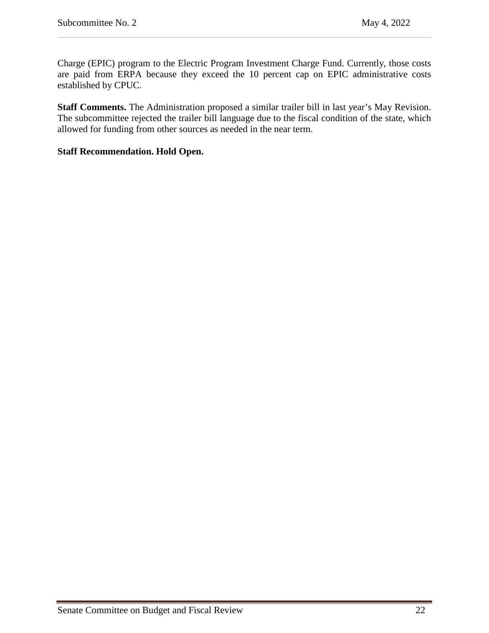Charge (EPIC) program to the Electric Program Investment Charge Fund. Currently, those costs are paid from ERPA because they exceed the 10 percent cap on EPIC administrative costs established by CPUC.

**Staff Comments.** The Administration proposed a similar trailer bill in last year's May Revision. The subcommittee rejected the trailer bill language due to the fiscal condition of the state, which allowed for funding from other sources as needed in the near term.

#### **Staff Recommendation. Hold Open.**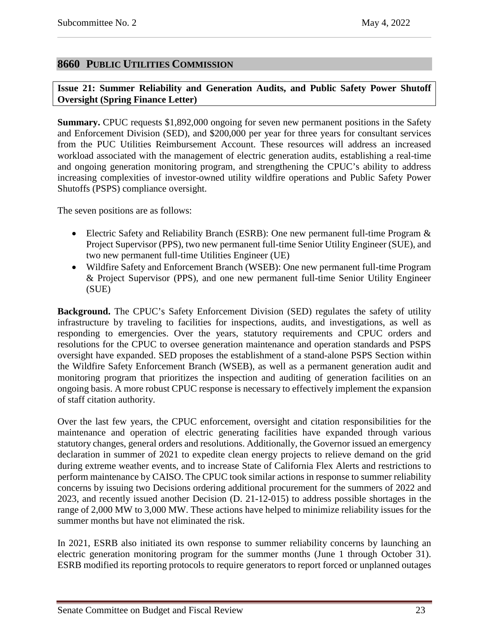## <span id="page-22-0"></span>**8660 PUBLIC UTILITIES COMMISSION**

<span id="page-22-1"></span>**Issue 21: Summer Reliability and Generation Audits, and Public Safety Power Shutoff Oversight (Spring Finance Letter)**

**Summary.** CPUC requests \$1,892,000 ongoing for seven new permanent positions in the Safety and Enforcement Division (SED), and \$200,000 per year for three years for consultant services from the PUC Utilities Reimbursement Account. These resources will address an increased workload associated with the management of electric generation audits, establishing a real-time and ongoing generation monitoring program, and strengthening the CPUC's ability to address increasing complexities of investor-owned utility wildfire operations and Public Safety Power Shutoffs (PSPS) compliance oversight.

The seven positions are as follows:

- Electric Safety and Reliability Branch (ESRB): One new permanent full-time Program & Project Supervisor (PPS), two new permanent full-time Senior Utility Engineer (SUE), and two new permanent full-time Utilities Engineer (UE)
- Wildfire Safety and Enforcement Branch (WSEB): One new permanent full-time Program & Project Supervisor (PPS), and one new permanent full-time Senior Utility Engineer (SUE)

**Background.** The CPUC's Safety Enforcement Division (SED) regulates the safety of utility infrastructure by traveling to facilities for inspections, audits, and investigations, as well as responding to emergencies. Over the years, statutory requirements and CPUC orders and resolutions for the CPUC to oversee generation maintenance and operation standards and PSPS oversight have expanded. SED proposes the establishment of a stand-alone PSPS Section within the Wildfire Safety Enforcement Branch (WSEB), as well as a permanent generation audit and monitoring program that prioritizes the inspection and auditing of generation facilities on an ongoing basis. A more robust CPUC response is necessary to effectively implement the expansion of staff citation authority.

Over the last few years, the CPUC enforcement, oversight and citation responsibilities for the maintenance and operation of electric generating facilities have expanded through various statutory changes, general orders and resolutions. Additionally, the Governor issued an emergency declaration in summer of 2021 to expedite clean energy projects to relieve demand on the grid during extreme weather events, and to increase State of California Flex Alerts and restrictions to perform maintenance by CAISO. The CPUC took similar actions in response to summer reliability concerns by issuing two Decisions ordering additional procurement for the summers of 2022 and 2023, and recently issued another Decision (D. 21-12-015) to address possible shortages in the range of 2,000 MW to 3,000 MW. These actions have helped to minimize reliability issues for the summer months but have not eliminated the risk.

In 2021, ESRB also initiated its own response to summer reliability concerns by launching an electric generation monitoring program for the summer months (June 1 through October 31). ESRB modified its reporting protocols to require generators to report forced or unplanned outages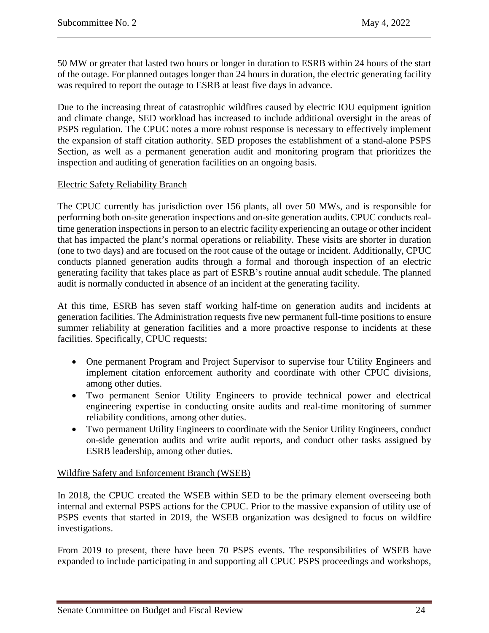50 MW or greater that lasted two hours or longer in duration to ESRB within 24 hours of the start of the outage. For planned outages longer than 24 hours in duration, the electric generating facility was required to report the outage to ESRB at least five days in advance.

Due to the increasing threat of catastrophic wildfires caused by electric IOU equipment ignition and climate change, SED workload has increased to include additional oversight in the areas of PSPS regulation. The CPUC notes a more robust response is necessary to effectively implement the expansion of staff citation authority. SED proposes the establishment of a stand-alone PSPS Section, as well as a permanent generation audit and monitoring program that prioritizes the inspection and auditing of generation facilities on an ongoing basis.

#### Electric Safety Reliability Branch

The CPUC currently has jurisdiction over 156 plants, all over 50 MWs, and is responsible for performing both on-site generation inspections and on-site generation audits. CPUC conducts realtime generation inspections in person to an electric facility experiencing an outage or other incident that has impacted the plant's normal operations or reliability. These visits are shorter in duration (one to two days) and are focused on the root cause of the outage or incident. Additionally, CPUC conducts planned generation audits through a formal and thorough inspection of an electric generating facility that takes place as part of ESRB's routine annual audit schedule. The planned audit is normally conducted in absence of an incident at the generating facility.

At this time, ESRB has seven staff working half-time on generation audits and incidents at generation facilities. The Administration requests five new permanent full-time positions to ensure summer reliability at generation facilities and a more proactive response to incidents at these facilities. Specifically, CPUC requests:

- One permanent Program and Project Supervisor to supervise four Utility Engineers and implement citation enforcement authority and coordinate with other CPUC divisions, among other duties.
- Two permanent Senior Utility Engineers to provide technical power and electrical engineering expertise in conducting onsite audits and real-time monitoring of summer reliability conditions, among other duties.
- Two permanent Utility Engineers to coordinate with the Senior Utility Engineers, conduct on-side generation audits and write audit reports, and conduct other tasks assigned by ESRB leadership, among other duties.

## Wildfire Safety and Enforcement Branch (WSEB)

In 2018, the CPUC created the WSEB within SED to be the primary element overseeing both internal and external PSPS actions for the CPUC. Prior to the massive expansion of utility use of PSPS events that started in 2019, the WSEB organization was designed to focus on wildfire investigations.

From 2019 to present, there have been 70 PSPS events. The responsibilities of WSEB have expanded to include participating in and supporting all CPUC PSPS proceedings and workshops,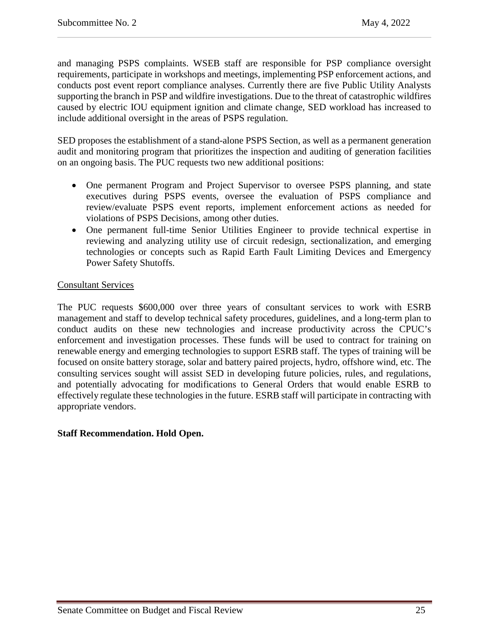and managing PSPS complaints. WSEB staff are responsible for PSP compliance oversight requirements, participate in workshops and meetings, implementing PSP enforcement actions, and conducts post event report compliance analyses. Currently there are five Public Utility Analysts supporting the branch in PSP and wildfire investigations. Due to the threat of catastrophic wildfires caused by electric IOU equipment ignition and climate change, SED workload has increased to include additional oversight in the areas of PSPS regulation.

SED proposes the establishment of a stand-alone PSPS Section, as well as a permanent generation audit and monitoring program that prioritizes the inspection and auditing of generation facilities on an ongoing basis. The PUC requests two new additional positions:

- One permanent Program and Project Supervisor to oversee PSPS planning, and state executives during PSPS events, oversee the evaluation of PSPS compliance and review/evaluate PSPS event reports, implement enforcement actions as needed for violations of PSPS Decisions, among other duties.
- One permanent full-time Senior Utilities Engineer to provide technical expertise in reviewing and analyzing utility use of circuit redesign, sectionalization, and emerging technologies or concepts such as Rapid Earth Fault Limiting Devices and Emergency Power Safety Shutoffs.

## Consultant Services

The PUC requests \$600,000 over three years of consultant services to work with ESRB management and staff to develop technical safety procedures, guidelines, and a long-term plan to conduct audits on these new technologies and increase productivity across the CPUC's enforcement and investigation processes. These funds will be used to contract for training on renewable energy and emerging technologies to support ESRB staff. The types of training will be focused on onsite battery storage, solar and battery paired projects, hydro, offshore wind, etc. The consulting services sought will assist SED in developing future policies, rules, and regulations, and potentially advocating for modifications to General Orders that would enable ESRB to effectively regulate these technologies in the future. ESRB staff will participate in contracting with appropriate vendors.

## **Staff Recommendation. Hold Open.**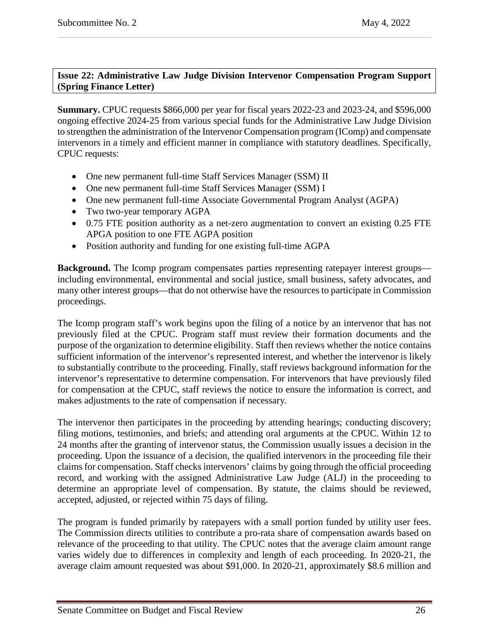# <span id="page-25-0"></span>**Issue 22: Administrative Law Judge Division Intervenor Compensation Program Support (Spring Finance Letter)**

**Summary.** CPUC requests \$866,000 per year for fiscal years 2022-23 and 2023-24, and \$596,000 ongoing effective 2024-25 from various special funds for the Administrative Law Judge Division to strengthen the administration of the Intervenor Compensation program (IComp) and compensate intervenors in a timely and efficient manner in compliance with statutory deadlines. Specifically, CPUC requests:

- One new permanent full-time Staff Services Manager (SSM) II
- One new permanent full-time Staff Services Manager (SSM) I
- One new permanent full-time Associate Governmental Program Analyst (AGPA)
- Two two-year temporary AGPA
- 0.75 FTE position authority as a net-zero augmentation to convert an existing 0.25 FTE APGA position to one FTE AGPA position
- Position authority and funding for one existing full-time AGPA

**Background.** The Icomp program compensates parties representing ratepayer interest groups including environmental, environmental and social justice, small business, safety advocates, and many other interest groups—that do not otherwise have the resources to participate in Commission proceedings.

The Icomp program staff's work begins upon the filing of a notice by an intervenor that has not previously filed at the CPUC. Program staff must review their formation documents and the purpose of the organization to determine eligibility. Staff then reviews whether the notice contains sufficient information of the intervenor's represented interest, and whether the intervenor is likely to substantially contribute to the proceeding. Finally, staff reviews background information for the intervenor's representative to determine compensation. For intervenors that have previously filed for compensation at the CPUC, staff reviews the notice to ensure the information is correct, and makes adjustments to the rate of compensation if necessary.

The intervenor then participates in the proceeding by attending hearings; conducting discovery; filing motions, testimonies, and briefs; and attending oral arguments at the CPUC. Within 12 to 24 months after the granting of intervenor status, the Commission usually issues a decision in the proceeding. Upon the issuance of a decision, the qualified intervenors in the proceeding file their claims for compensation. Staff checks intervenors' claims by going through the official proceeding record, and working with the assigned Administrative Law Judge (ALJ) in the proceeding to determine an appropriate level of compensation. By statute, the claims should be reviewed, accepted, adjusted, or rejected within 75 days of filing.

The program is funded primarily by ratepayers with a small portion funded by utility user fees. The Commission directs utilities to contribute a pro-rata share of compensation awards based on relevance of the proceeding to that utility. The CPUC notes that the average claim amount range varies widely due to differences in complexity and length of each proceeding. In 2020-21, the average claim amount requested was about \$91,000. In 2020-21, approximately \$8.6 million and